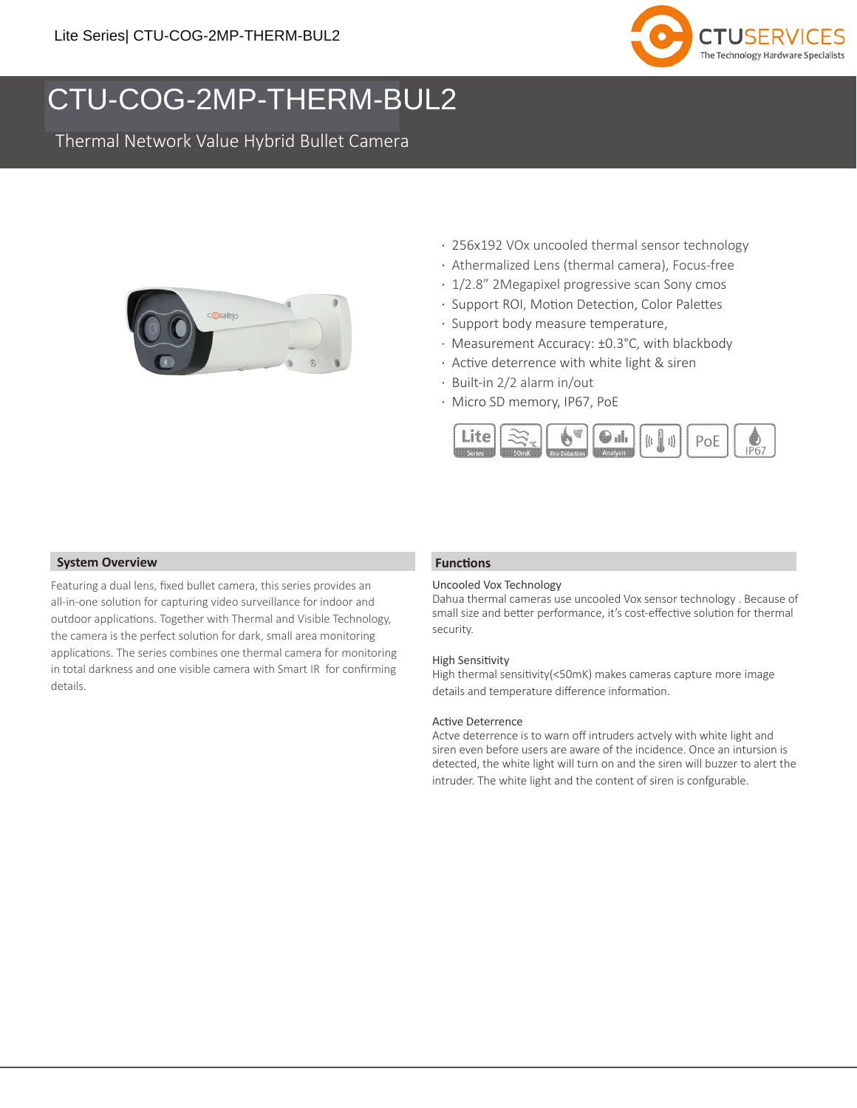

# COG-2MP-THERM-BUL2 CTU-COG-2MP-THERM-BUL2

Thermal Network Value Hybrid Bullet Camera



- · 256x192 VOx uncooled thermal sensor technology
- · Athermalized Lens (thermal camera), Focus-free
- · 1/2.8" 2Megapixel progressive scan Sony cmos
- · Support ROI, Motion Detection, Color Palettes
- · Support body measure temperature,
- · Measurement Accuracy: ±0.3°C, with blackbody
- · Active deterrence with white light & siren
- · Built-in 2/2 alarm in/out
- · Micro SD memory, IP67, PoE



### **System Overview**

Featuring a dual lens, fixed bullet camera, this series provides an all-in-one solution for capturing video surveillance for indoor and outdoor applications. Together with Thermal and Visible Technology, the camera is the perfect solution for dark, small area monitoring applications. The series combines one thermal camera for monitoring in total darkness and one visible camera with Smart IR for confirming details.

### **Functions**

### Uncooled Vox Technology

Dahua thermal cameras use uncooled Vox sensor technology . Because of small size and better performance, it's cost-effective solution for thermal security.

#### High Sensitivity

High thermal sensitivity(<50mK) makes cameras capture more image details and temperature difference information.

#### Active Deterrence

Actve deterrence is to warn off intruders actvely with white light and siren even before users are aware of the incidence. Once an intursion is detected, the white light will turn on and the siren will buzzer to alert the intruder. The white light and the content of siren is confgurable.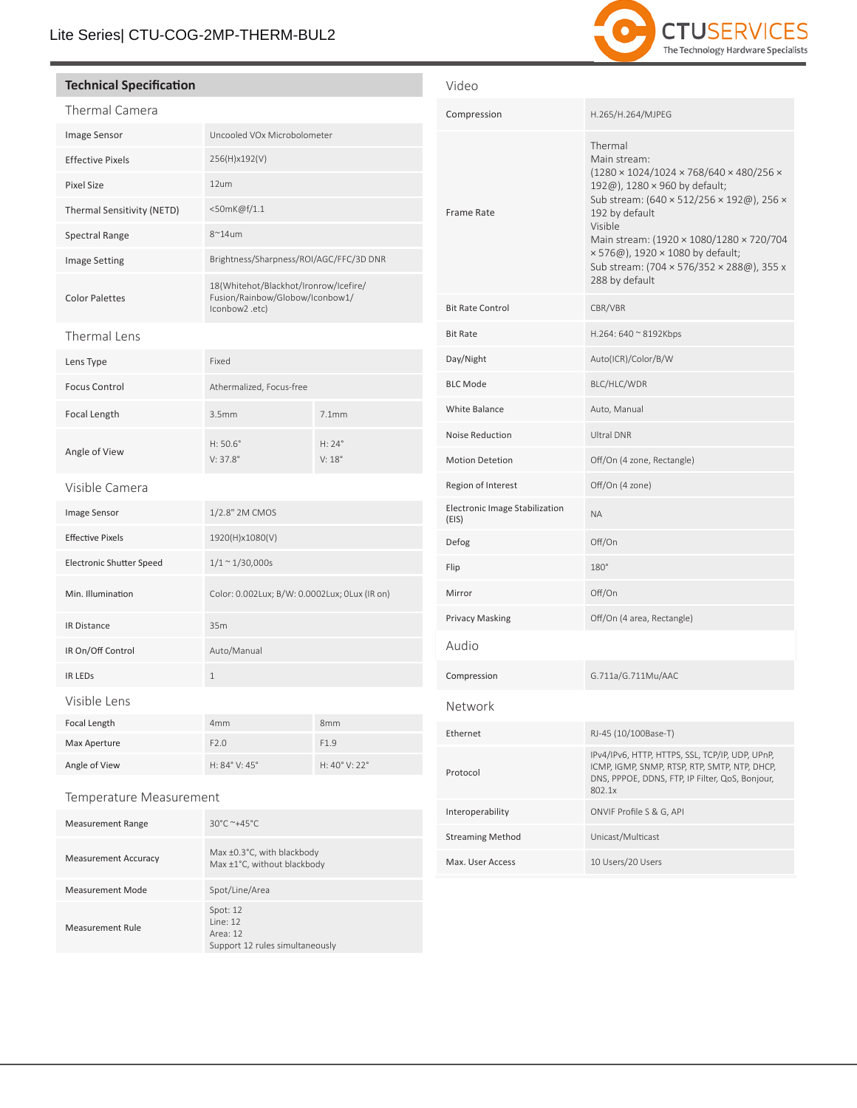## Lite Series| CTU-COG-2MP-THERM-BUL2

# 2 **CTUSERVICES** The Technology Hardware Specialists

### **Technical Specification**

| Thermal Camera                  |                                                                                            |                 |
|---------------------------------|--------------------------------------------------------------------------------------------|-----------------|
| Image Sensor                    | Uncooled VOx Microbolometer                                                                |                 |
| <b>Effective Pixels</b>         | 256(H)x192(V)                                                                              |                 |
| <b>Pixel Size</b>               | 12um                                                                                       |                 |
| Thermal Sensitivity (NETD)      | <50mK@f/1.1                                                                                |                 |
| <b>Spectral Range</b>           | $8^{\sim}14$ um                                                                            |                 |
| Image Setting                   | Brightness/Sharpness/ROI/AGC/FFC/3D DNR                                                    |                 |
| <b>Color Palettes</b>           | 18(Whitehot/Blackhot/Ironrow/Icefire/<br>Fusion/Rainbow/Globow/Iconbow1/<br>lconbow2 .etc) |                 |
| Thermal Lens                    |                                                                                            |                 |
| Lens Type                       | Fixed                                                                                      |                 |
| <b>Focus Control</b>            | Athermalized, Focus-free                                                                   |                 |
| Focal Length                    | 3.5mm                                                                                      | 7.1mm           |
| Angle of View                   | $H: 50.6^{\circ}$<br>$V: 37.8^{\circ}$                                                     | H: 24°<br>V:18° |
| Visible Camera                  |                                                                                            |                 |
| Image Sensor                    | 1/2.8" 2M CMOS                                                                             |                 |
| <b>Effective Pixels</b>         | 1920(H)x1080(V)                                                                            |                 |
| <b>Electronic Shutter Speed</b> | $1/1 \sim 1/30,000s$                                                                       |                 |
| Min. Illumination               | Color: 0.002Lux; B/W: 0.0002Lux; 0Lux (IR on)                                              |                 |
| <b>IR Distance</b>              | 35m                                                                                        |                 |
| IR On/Off Control               | Auto/Manual                                                                                |                 |
| <b>IR LEDS</b>                  | $\mathbf{1}$                                                                               |                 |
| Visible Lens                    |                                                                                            |                 |
| Focal Length                    | 4 <sub>mm</sub>                                                                            | 8 <sub>mm</sub> |
| Max Aperture                    | F2.0                                                                                       | F1.9            |
| Angle of View                   | H: 84° V: 45°                                                                              | H: 40° V: 22°   |

| Video                                   |                                                                                                                                                                                                                                                                                                                                                    |
|-----------------------------------------|----------------------------------------------------------------------------------------------------------------------------------------------------------------------------------------------------------------------------------------------------------------------------------------------------------------------------------------------------|
| Compression                             | H.265/H.264/MJPEG                                                                                                                                                                                                                                                                                                                                  |
| <b>Frame Rate</b>                       | Thermal<br>Main stream:<br>$(1280 \times 1024/1024 \times 768/640 \times 480/256 \times$<br>192@), 1280 × 960 by default;<br>Sub stream: (640 × 512/256 × 192@), 256 ×<br>192 by default<br>Visible<br>Main stream: (1920 × 1080/1280 × 720/704<br>× 576@), 1920 × 1080 by default;<br>Sub stream: (704 × 576/352 × 288@), 355 x<br>288 by default |
| <b>Bit Rate Control</b>                 | CBR/VBR                                                                                                                                                                                                                                                                                                                                            |
| <b>Bit Rate</b>                         | H.264: 640 ~ 8192Kbps                                                                                                                                                                                                                                                                                                                              |
| Day/Night                               | Auto(ICR)/Color/B/W                                                                                                                                                                                                                                                                                                                                |
| <b>BLC Mode</b>                         | BLC/HLC/WDR                                                                                                                                                                                                                                                                                                                                        |
| White Balance                           | Auto, Manual                                                                                                                                                                                                                                                                                                                                       |
| Noise Reduction                         | <b>Ultral DNR</b>                                                                                                                                                                                                                                                                                                                                  |
| <b>Motion Detetion</b>                  | Off/On (4 zone, Rectangle)                                                                                                                                                                                                                                                                                                                         |
| Region of Interest                      | Off/On (4 zone)                                                                                                                                                                                                                                                                                                                                    |
| Electronic Image Stabilization<br>(EIS) | <b>ΝΑ</b>                                                                                                                                                                                                                                                                                                                                          |
| Defog                                   | Off/On                                                                                                                                                                                                                                                                                                                                             |
| Flip                                    | $180^\circ$                                                                                                                                                                                                                                                                                                                                        |
| Mirror                                  | Off/On                                                                                                                                                                                                                                                                                                                                             |
| <b>Privacy Masking</b>                  | Off/On (4 area, Rectangle)                                                                                                                                                                                                                                                                                                                         |
| Audio                                   |                                                                                                                                                                                                                                                                                                                                                    |
| Compression                             | G.711a/G.711Mu/AAC                                                                                                                                                                                                                                                                                                                                 |
| Network                                 |                                                                                                                                                                                                                                                                                                                                                    |
| Ethernet                                | RJ-45 (10/100Base-T)                                                                                                                                                                                                                                                                                                                               |
| Protocol                                | IPv4/IPv6, HTTP, HTTPS, SSL, TCP/IP, UDP, UPnP,<br>ICMP, IGMP, SNMP, RTSP, RTP, SMTP, NTP, DHCP,<br>DNS, PPPOE, DDNS, FTP, IP Filter, QoS, Bonjour,<br>802.1x                                                                                                                                                                                      |
| Interoperability                        | ONVIF Profile S & G, API                                                                                                                                                                                                                                                                                                                           |
| <b>Streaming Method</b>                 | Unicast/Multicast                                                                                                                                                                                                                                                                                                                                  |

Max. User Access 10 Users/20 Users

#### Temperature Measurement

| <b>Measurement Range</b>    | $30^{\circ}$ C ~+45°C                                                     |
|-----------------------------|---------------------------------------------------------------------------|
| <b>Measurement Accuracy</b> | Max $\pm$ 0.3 $^{\circ}$ C, with blackbody<br>Max ±1°C, without blackbody |
| Measurement Mode            | Spot/Line/Area                                                            |
| Measurement Rule            | Spot: $12$<br>line: 12<br>Area: 12<br>Support 12 rules simultaneously     |